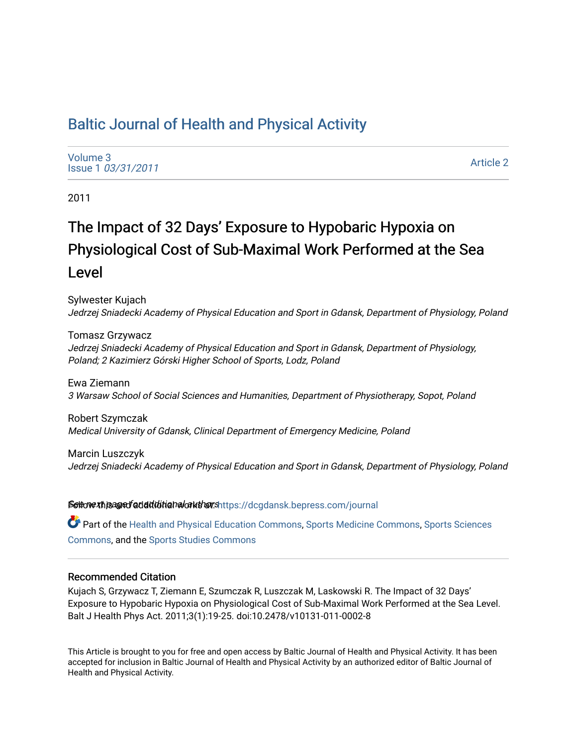# [Baltic Journal of Health and Physical Activity](https://dcgdansk.bepress.com/journal)

[Volume 3](https://dcgdansk.bepress.com/journal/vol3) Issue 1 [03/31/2011](https://dcgdansk.bepress.com/journal/vol3/iss1)

[Article 2](https://dcgdansk.bepress.com/journal/vol3/iss1/2) 

2011

# The Impact of 32 Days' Exposure to Hypobaric Hypoxia on Physiological Cost of Sub-Maximal Work Performed at the Sea Level

Sylwester Kujach Jedrzej Sniadecki Academy of Physical Education and Sport in Gdansk, Department of Physiology, Poland

Tomasz Grzywacz Jedrzej Sniadecki Academy of Physical Education and Sport in Gdansk, Department of Physiology, Poland; 2 Kazimierz Górski Higher School of Sports, Lodz, Poland

Ewa Ziemann 3 Warsaw School of Social Sciences and Humanities, Department of Physiotherapy, Sopot, Poland

Robert Szymczak Medical University of Gdansk, Clinical Department of Emergency Medicine, Poland

Marcin Luszczyk Jedrzej Sniadecki Academy of Physical Education and Sport in Gdansk, Department of Physiology, Poland

Settovexthis age of addiditional authors[https://dcgdansk.bepress.com/journal](https://dcgdansk.bepress.com/journal?utm_source=dcgdansk.bepress.com%2Fjournal%2Fvol3%2Fiss1%2F2&utm_medium=PDF&utm_campaign=PDFCoverPages)

Part of the [Health and Physical Education Commons](http://network.bepress.com/hgg/discipline/1327?utm_source=dcgdansk.bepress.com%2Fjournal%2Fvol3%2Fiss1%2F2&utm_medium=PDF&utm_campaign=PDFCoverPages), [Sports Medicine Commons,](http://network.bepress.com/hgg/discipline/1331?utm_source=dcgdansk.bepress.com%2Fjournal%2Fvol3%2Fiss1%2F2&utm_medium=PDF&utm_campaign=PDFCoverPages) [Sports Sciences](http://network.bepress.com/hgg/discipline/759?utm_source=dcgdansk.bepress.com%2Fjournal%2Fvol3%2Fiss1%2F2&utm_medium=PDF&utm_campaign=PDFCoverPages) [Commons](http://network.bepress.com/hgg/discipline/759?utm_source=dcgdansk.bepress.com%2Fjournal%2Fvol3%2Fiss1%2F2&utm_medium=PDF&utm_campaign=PDFCoverPages), and the [Sports Studies Commons](http://network.bepress.com/hgg/discipline/1198?utm_source=dcgdansk.bepress.com%2Fjournal%2Fvol3%2Fiss1%2F2&utm_medium=PDF&utm_campaign=PDFCoverPages) 

### Recommended Citation

Kujach S, Grzywacz T, Ziemann E, Szumczak R, Luszczak M, Laskowski R. The Impact of 32 Days' Exposure to Hypobaric Hypoxia on Physiological Cost of Sub-Maximal Work Performed at the Sea Level. Balt J Health Phys Act. 2011;3(1):19-25. doi:10.2478/v10131-011-0002-8

This Article is brought to you for free and open access by Baltic Journal of Health and Physical Activity. It has been accepted for inclusion in Baltic Journal of Health and Physical Activity by an authorized editor of Baltic Journal of Health and Physical Activity.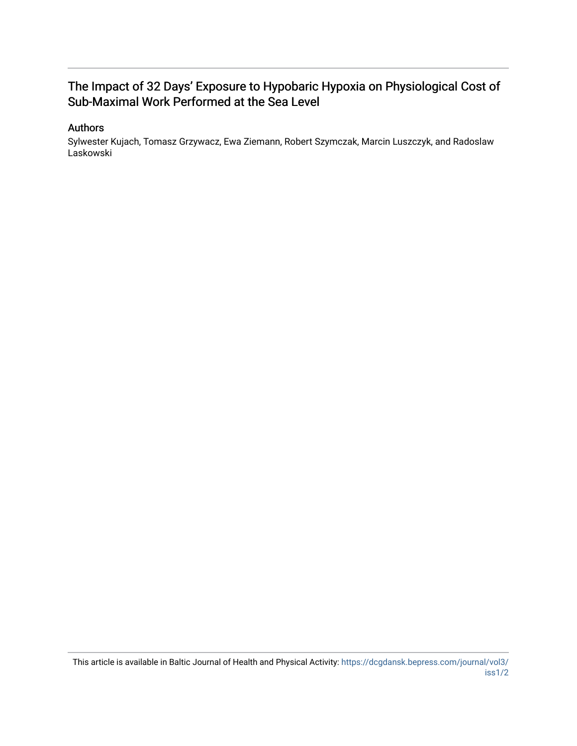## The Impact of 32 Days' Exposure to Hypobaric Hypoxia on Physiological Cost of Sub-Maximal Work Performed at the Sea Level

### Authors

Sylwester Kujach, Tomasz Grzywacz, Ewa Ziemann, Robert Szymczak, Marcin Luszczyk, and Radoslaw Laskowski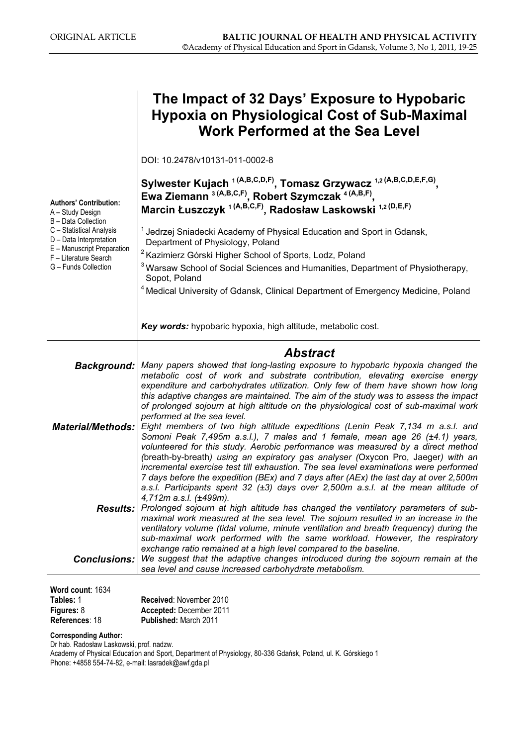|                                                                                                                                                                                                                | The Impact of 32 Days' Exposure to Hypobaric<br><b>Hypoxia on Physiological Cost of Sub-Maximal</b><br><b>Work Performed at the Sea Level</b>                                                                                                                                                                                                                                                                                                                                                                                                                                                               |
|----------------------------------------------------------------------------------------------------------------------------------------------------------------------------------------------------------------|-------------------------------------------------------------------------------------------------------------------------------------------------------------------------------------------------------------------------------------------------------------------------------------------------------------------------------------------------------------------------------------------------------------------------------------------------------------------------------------------------------------------------------------------------------------------------------------------------------------|
| <b>Authors' Contribution:</b><br>A - Study Design<br>B - Data Collection<br>C - Statistical Analysis<br>D - Data Interpretation<br>E - Manuscript Preparation<br>F - Literature Search<br>G - Funds Collection | DOI: 10.2478/v10131-011-0002-8                                                                                                                                                                                                                                                                                                                                                                                                                                                                                                                                                                              |
|                                                                                                                                                                                                                | Sylwester Kujach <sup>1(A,B,C,D,F)</sup> , Tomasz Grzywacz <sup>1,2(A,B,C,D,E,F,G)</sup> ,<br>Ewa Ziemann <sup>3 (A,B,C,F)</sup> , Robert Szymczak <sup>4 (A,B,F)</sup> ,<br>Marcin Łuszczyk <sup>1 (A,B,C,F)</sup> , Radosław Laskowski <sup>1,2 (D,E,F)</sup>                                                                                                                                                                                                                                                                                                                                             |
|                                                                                                                                                                                                                | <sup>1</sup> Jedrzej Sniadecki Academy of Physical Education and Sport in Gdansk,<br>Department of Physiology, Poland                                                                                                                                                                                                                                                                                                                                                                                                                                                                                       |
|                                                                                                                                                                                                                | <sup>2</sup> Kazimierz Górski Higher School of Sports, Lodz, Poland                                                                                                                                                                                                                                                                                                                                                                                                                                                                                                                                         |
|                                                                                                                                                                                                                | <sup>3</sup> Warsaw School of Social Sciences and Humanities, Department of Physiotherapy,                                                                                                                                                                                                                                                                                                                                                                                                                                                                                                                  |
|                                                                                                                                                                                                                | Sopot, Poland                                                                                                                                                                                                                                                                                                                                                                                                                                                                                                                                                                                               |
|                                                                                                                                                                                                                | <sup>4</sup> Medical University of Gdansk, Clinical Department of Emergency Medicine, Poland                                                                                                                                                                                                                                                                                                                                                                                                                                                                                                                |
|                                                                                                                                                                                                                | Key words: hypobaric hypoxia, high altitude, metabolic cost.                                                                                                                                                                                                                                                                                                                                                                                                                                                                                                                                                |
|                                                                                                                                                                                                                |                                                                                                                                                                                                                                                                                                                                                                                                                                                                                                                                                                                                             |
|                                                                                                                                                                                                                | <b>Abstract</b>                                                                                                                                                                                                                                                                                                                                                                                                                                                                                                                                                                                             |
|                                                                                                                                                                                                                | Background:   Many papers showed that long-lasting exposure to hypobaric hypoxia changed the                                                                                                                                                                                                                                                                                                                                                                                                                                                                                                                |
|                                                                                                                                                                                                                | metabolic cost of work and substrate contribution, elevating exercise energy<br>expenditure and carbohydrates utilization. Only few of them have shown how long                                                                                                                                                                                                                                                                                                                                                                                                                                             |
|                                                                                                                                                                                                                | this adaptive changes are maintained. The aim of the study was to assess the impact                                                                                                                                                                                                                                                                                                                                                                                                                                                                                                                         |
|                                                                                                                                                                                                                | of prolonged sojourn at high altitude on the physiological cost of sub-maximal work<br>performed at the sea level.                                                                                                                                                                                                                                                                                                                                                                                                                                                                                          |
| <b>Material/Methods:</b>                                                                                                                                                                                       | Eight members of two high altitude expeditions (Lenin Peak 7,134 m a.s.l. and<br>Somoni Peak 7,495m a.s.l.), 7 males and 1 female, mean age 26 (±4.1) years,<br>volunteered for this study. Aerobic performance was measured by a direct method<br>(breath-by-breath) using an expiratory gas analyser (Oxycon Pro, Jaeger) with an<br>incremental exercise test till exhaustion. The sea level examinations were performed<br>7 days before the expedition (BEx) and 7 days after (AEx) the last day at over 2,500m<br>a.s.l. Participants spent 32 $(±3)$ days over 2,500m a.s.l. at the mean altitude of |
|                                                                                                                                                                                                                | 4,712m a.s.l. (±499m).                                                                                                                                                                                                                                                                                                                                                                                                                                                                                                                                                                                      |
| <b>Results:</b>                                                                                                                                                                                                | Prolonged sojourn at high altitude has changed the ventilatory parameters of sub-<br>maximal work measured at the sea level. The sojourn resulted in an increase in the                                                                                                                                                                                                                                                                                                                                                                                                                                     |
|                                                                                                                                                                                                                | ventilatory volume (tidal volume, minute ventilation and breath frequency) during the                                                                                                                                                                                                                                                                                                                                                                                                                                                                                                                       |
| <b>Conclusions:</b>                                                                                                                                                                                            | sub-maximal work performed with the same workload. However, the respiratory<br>exchange ratio remained at a high level compared to the baseline.<br>We suggest that the adaptive changes introduced during the sojourn remain at the                                                                                                                                                                                                                                                                                                                                                                        |
|                                                                                                                                                                                                                |                                                                                                                                                                                                                                                                                                                                                                                                                                                                                                                                                                                                             |

| Word count: 1634  |                                |  |
|-------------------|--------------------------------|--|
| Tables: 1         | <b>Received: November 2010</b> |  |
| <b>Figures: 8</b> | Accepted: December 2011        |  |
| References: 18    | <b>Published: March 2011</b>   |  |
|                   |                                |  |

Corresponding Author:

Dr hab. Radosław Laskowski, prof. nadzw.

Academy of Physical Education and Sport, Department of Physiology, 80-336 Gdańsk, Poland, ul. K. Górskiego 1 Phone: +4858 554-74-82, e-mail: lasradek@awf.gda.pl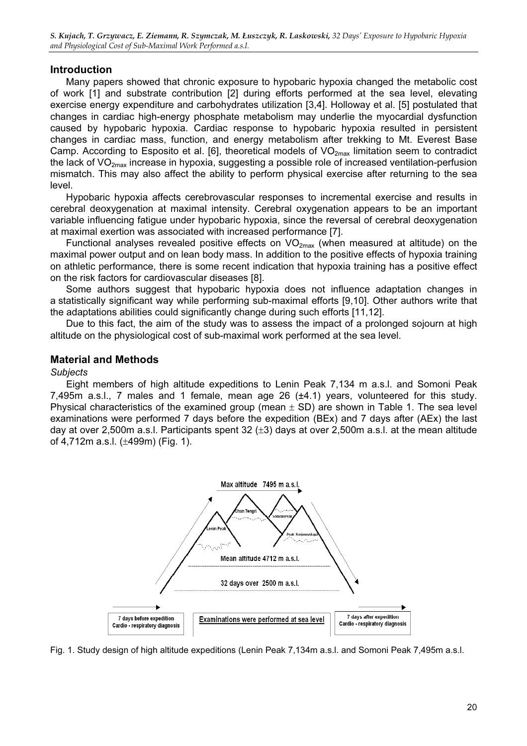### Introduction

Many papers showed that chronic exposure to hypobaric hypoxia changed the metabolic cost of work [1] and substrate contribution [2] during efforts performed at the sea level, elevating exercise energy expenditure and carbohydrates utilization [3,4]. Holloway et al. [5] postulated that changes in cardiac high-energy phosphate metabolism may underlie the myocardial dysfunction caused by hypobaric hypoxia. Cardiac response to hypobaric hypoxia resulted in persistent changes in cardiac mass, function, and energy metabolism after trekking to Mt. Everest Base Camp. According to Esposito et al. [6], theoretical models of  $VO_{2max}$  limitation seem to contradict the lack of  $VO_{2max}$  increase in hypoxia, suggesting a possible role of increased ventilation-perfusion mismatch. This may also affect the ability to perform physical exercise after returning to the sea level.

Hypobaric hypoxia affects cerebrovascular responses to incremental exercise and results in cerebral deoxygenation at maximal intensity. Cerebral oxygenation appears to be an important variable influencing fatigue under hypobaric hypoxia, since the reversal of cerebral deoxygenation at maximal exertion was associated with increased performance [7].

Functional analyses revealed positive effects on  $VO_{2max}$  (when measured at altitude) on the maximal power output and on lean body mass. In addition to the positive effects of hypoxia training on athletic performance, there is some recent indication that hypoxia training has a positive effect on the risk factors for cardiovascular diseases [8].

Some authors suggest that hypobaric hypoxia does not influence adaptation changes in a statistically significant way while performing sub-maximal efforts [9,10]. Other authors write that the adaptations abilities could significantly change during such efforts [11,12].

Due to this fact, the aim of the study was to assess the impact of a prolonged sojourn at high altitude on the physiological cost of sub-maximal work performed at the sea level.

### Material and Methods

Eight members of high altitude expeditions to Lenin Peak 7,134 m a.s.l. and Somoni Peak 7,495m a.s.l., 7 males and 1 female, mean age 26 (±4.1) years, volunteered for this study. Physical characteristics of the examined group (mean  $\pm$  SD) are shown in Table 1. The sea level examinations were performed 7 days before the expedition (BEx) and 7 days after (AEx) the last day at over 2,500m a.s.l. Participants spent 32  $(\pm 3)$  days at over 2,500m a.s.l. at the mean altitude of 4,712m a.s.l. (±499m) (Fig. 1).



Fig. 1. Study design of high altitude expeditions (Lenin Peak 7,134m a.s.l. and Somoni Peak 7,495m a.s.l.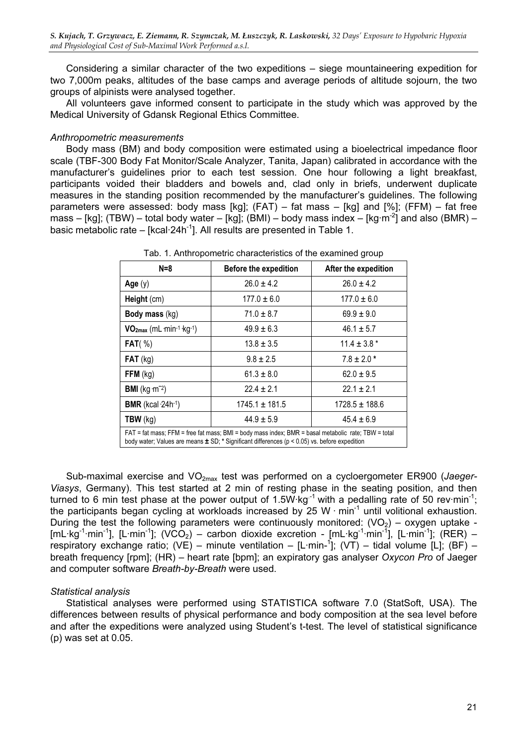Considering a similar character of the two expeditions – siege mountaineering expedition for two 7,000m peaks, altitudes of the base camps and average periods of altitude sojourn, the two groups of alpinists were analysed together.

All volunteers gave informed consent to participate in the study which was approved by the Medical University of Gdansk Regional Ethics Committee.

Anthropometric measurements Body mass (BM) and body composition were estimated using a bioelectrical impedance floor scale (TBF-300 Body Fat Monitor/Scale Analyzer, Tanita, Japan) calibrated in accordance with the manufacturer's guidelines prior to each test session. One hour following a light breakfast, participants voided their bladders and bowels and, clad only in briefs, underwent duplicate measures in the standing position recommended by the manufacturer's guidelines. The following parameters were assessed: body mass [kg];  $(FAT)$  – fat mass – [kg] and [%];  $(FFM)$  – fat free mass – [kg]; (TBW) – total body water – [kg]; (BMI) – body mass index – [kg·m<sup>-2</sup>] and also (BMR) – basic metabolic rate –  $[kcal 24h<sup>-1</sup>]$ . All results are presented in Table 1.

| $N=8$                                                                                                                                                                                                       | <b>Before the expedition</b> | After the expedition |  |
|-------------------------------------------------------------------------------------------------------------------------------------------------------------------------------------------------------------|------------------------------|----------------------|--|
| Age $(y)$                                                                                                                                                                                                   | $26.0 \pm 4.2$               | $26.0 \pm 4.2$       |  |
| Height (cm)                                                                                                                                                                                                 | $177.0 \pm 6.0$              | $177.0 \pm 6.0$      |  |
| Body mass (kg)                                                                                                                                                                                              | $71.0 \pm 8.7$               | $69.9 \pm 9.0$       |  |
| VO <sub>2max</sub> (mL min-1 kg-1)                                                                                                                                                                          | $49.9 \pm 6.3$               | $46.1 \pm 5.7$       |  |
| FAT( %)                                                                                                                                                                                                     | $13.8 \pm 3.5$               | $11.4 \pm 3.8$ *     |  |
| $FAT$ (kg)                                                                                                                                                                                                  | $9.8 \pm 2.5$                | $7.8 \pm 2.0*$       |  |
| $FFM$ (kg)                                                                                                                                                                                                  | $61.3 \pm 8.0$               | $62.0 \pm 9.5$       |  |
| <b>BMI</b> ( $kg \cdot m^{-2}$ )                                                                                                                                                                            | $22.4 \pm 2.1$               | $22.1 \pm 2.1$       |  |
| <b>BMR</b> (kcal $\cdot$ 24h $\cdot$ 1)                                                                                                                                                                     | $1745.1 \pm 181.5$           | $1728.5 \pm 188.6$   |  |
| $TBW$ (kg)                                                                                                                                                                                                  | $44.9 \pm 5.9$               | $45.4 \pm 6.9$       |  |
| FAT = fat mass; FFM = free fat mass; BMI = body mass index; BMR = basal metabolic rate; TBW = total<br>body water; Values are means $\pm$ SD; * Significant differences ( $p$ < 0.05) vs. before expedition |                              |                      |  |

Tab. 1. Anthropometric characteristics of the examined group

Sub-maximal exercise and  $VO<sub>2max</sub>$  test was performed on a cycloergometer ER900 (Jaeger-Viasys, Germany). This test started at 2 min of resting phase in the seating position, and then turned to 6 min test phase at the power output of 1.5W  $kg^{-1}$  with a pedalling rate of 50 rev $\cdot$ min<sup>-1</sup>; the participants began cycling at workloads increased by 25 W  $\cdot$  min<sup>-1</sup> until volitional exhaustion. During the test the following parameters were continuously monitored:  $(VO<sub>2</sub>)$  – oxygen uptake - $[mL \cdot \text{kg}^{-1} \cdot \text{min}^{-1}]$ ,  $[L \cdot \text{min}^{-1}]$ ; (VCO<sub>2</sub>) – carbon dioxide excretion -  $[mL \cdot \text{kg}^{-1} \cdot \text{min}^{-1}]$ ;  $[L \cdot \text{min}^{-1}]$ ; (RER) – respiratory exchange ratio; (VE) – minute ventilation – [L·min-<sup>1</sup> ]; (VT) – tidal volume [L]; (BF) – breath frequency [rpm]; (HR) – heart rate [bpm]; an expiratory gas analyser Oxycon Pro of Jaeger and computer software Breath-by-Breath were used.

Statistical analysis Statistical analyses were performed using STATISTICA software 7.0 (StatSoft, USA). The differences between results of physical performance and body composition at the sea level before and after the expeditions were analyzed using Student's t-test. The level of statistical significance (p) was set at 0.05.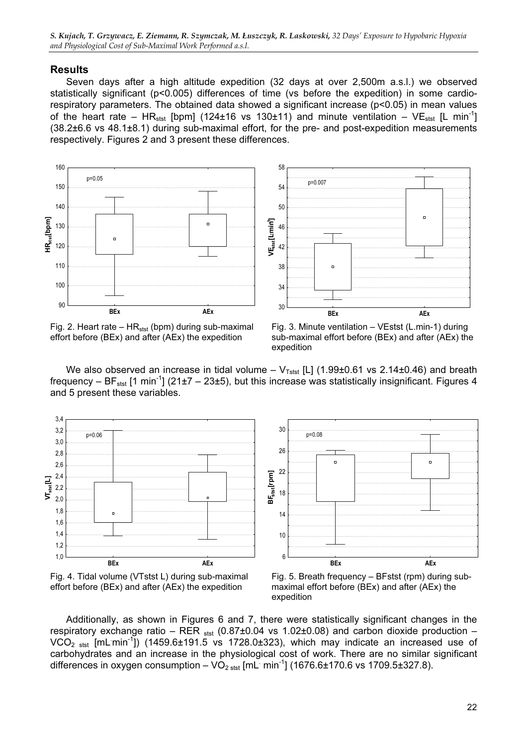S. Kujach, T. Grzywacz, E. Ziemann, R. Szymczak, M. Łuszczyk, R. Laskowski, 32 Days' Exposure to Hypobaric Hypoxia and Physiological Cost of Sub-Maximal Work Performed a.s.l.

### Results

Seven days after a high altitude expedition (32 days at over 2,500m a.s.l.) we observed statistically significant (p<0.005) differences of time (vs before the expedition) in some cardiorespiratory parameters. The obtained data showed a significant increase (p<0.05) in mean values of the heart rate – HR<sub>stst</sub> [bpm] (124±16 vs 130±11) and minute ventilation – VE<sub>stst</sub> [L min<sup>-1</sup>] (38.2±6.6 vs 48.1±8.1) during sub-maximal effort, for the pre- and post-expedition measurements respectively. Figures 2 and 3 present these differences.





Fig. 3. Minute ventilation – VEstst (L.min-1) during sub-maximal effort before (BEx) and after (AEx) the expedition

We also observed an increase in tidal volume –  $V_{Tstst}$  [L] (1.99±0.61 vs 2.14±0.46) and breath frequency –  $BF_{\text{sst}}$  [1 min<sup>-1</sup>] (21±7 – 23±5), but this increase was statistically insignificant. Figures 4 and 5 present these variables.





Fig. 5. Breath frequency – BFstst (rpm) during submaximal effort before (BEx) and after (AEx) the expedition

Additionally, as shown in Figures 6 and 7, there were statistically significant changes in the respiratory exchange ratio – RER  $_{\rm stat}$  (0.87 $\pm$ 0.04 vs 1.02 $\pm$ 0.08) and carbon dioxide production – VCO<sub>2 stst</sub> [mL min<sup>-1</sup>]) (1459.6±191.5 vs 1728.0±323), which may indicate an increased use of carbohydrates and an increase in the physiological cost of work. There are no similar significant differences in oxygen consumption  $-\vee O_{2 \text{ s}t}$  [mL min<sup>-1</sup>] (1676.6±170.6 vs 1709.5±327.8).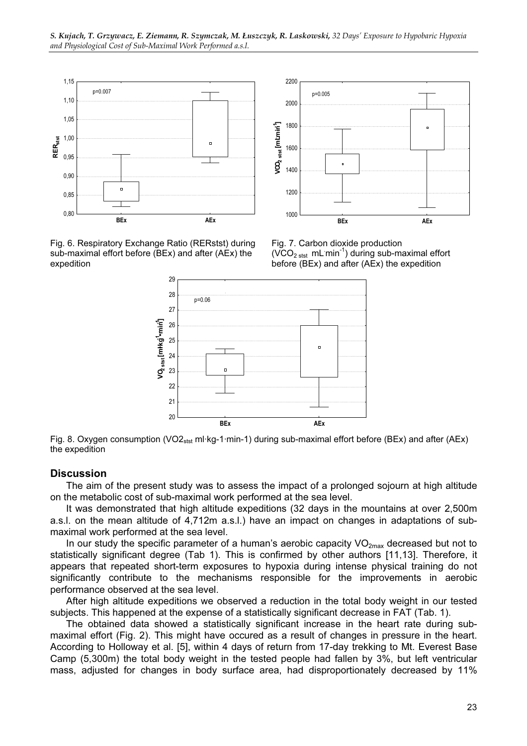



Fig. 6. Respiratory Exchange Ratio (RERstst) during sub-maximal effort before (BEx) and after (AEx) the expedition

Fig. 7. Carbon dioxide production  $(VCO<sub>2</sub>$ <sub>stst</sub> mL min<sup>-1</sup>) during sub-maximal effort before (BEx) and after (AEx) the expedition



Fig. 8. Oxygen consumption (VO2<sub>stst</sub> ml·kg-1·min-1) during sub-maximal effort before (BEx) and after (AEx) the expedition

### **Discussion**

The aim of the present study was to assess the impact of a prolonged sojourn at high altitude on the metabolic cost of sub-maximal work performed at the sea level.

It was demonstrated that high altitude expeditions (32 days in the mountains at over 2,500m a.s.l. on the mean altitude of 4,712m a.s.l.) have an impact on changes in adaptations of submaximal work performed at the sea level.

In our study the specific parameter of a human's aerobic capacity  $VO_{2max}$  decreased but not to statistically significant degree (Tab 1). This is confirmed by other authors [11,13]. Therefore, it appears that repeated short-term exposures to hypoxia during intense physical training do not significantly contribute to the mechanisms responsible for the improvements in aerobic performance observed at the sea level.

After high altitude expeditions we observed a reduction in the total body weight in our tested subjects. This happened at the expense of a statistically significant decrease in FAT (Tab. 1).

The obtained data showed a statistically significant increase in the heart rate during submaximal effort (Fig. 2). This might have occured as a result of changes in pressure in the heart. According to Holloway et al. [5], within 4 days of return from 17-day trekking to Mt. Everest Base Camp (5,300m) the total body weight in the tested people had fallen by 3%, but left ventricular mass, adjusted for changes in body surface area, had disproportionately decreased by 11%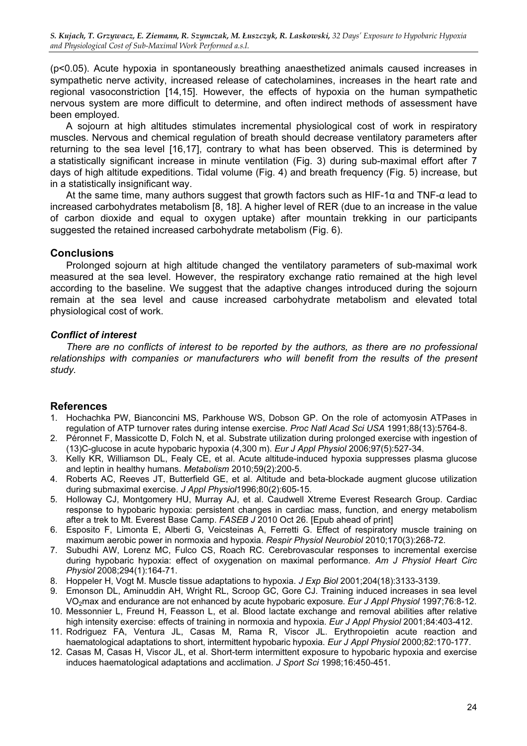(p<0.05). Acute hypoxia in spontaneously breathing anaesthetized animals caused increases in sympathetic nerve activity, increased release of catecholamines, increases in the heart rate and regional vasoconstriction [14,15]. However, the effects of hypoxia on the human sympathetic nervous system are more difficult to determine, and often indirect methods of assessment have been employed.

A sojourn at high altitudes stimulates incremental physiological cost of work in respiratory muscles. Nervous and chemical regulation of breath should decrease ventilatory parameters after returning to the sea level [16,17], contrary to what has been observed. This is determined by a statistically significant increase in minute ventilation (Fig. 3) during sub-maximal effort after 7 days of high altitude expeditions. Tidal volume (Fig. 4) and breath frequency (Fig. 5) increase, but in a statistically insignificant way.

At the same time, many authors suggest that growth factors such as HIF-1α and TNF-α lead to increased carbohydrates metabolism [8, 18]. A higher level of RER (due to an increase in the value of carbon dioxide and equal to oxygen uptake) after mountain trekking in our participants suggested the retained increased carbohydrate metabolism (Fig. 6).

### **Conclusions**

Prolonged sojourn at high altitude changed the ventilatory parameters of sub-maximal work measured at the sea level. However, the respiratory exchange ratio remained at the high level according to the baseline. We suggest that the adaptive changes introduced during the sojourn remain at the sea level and cause increased carbohydrate metabolism and elevated total physiological cost of work.

### Conflict of interest

There are no conflicts of interest to be reported by the authors, as there are no professional relationships with companies or manufacturers who will benefit from the results of the present study.

### References

- 1. Hochachka PW, Bianconcini MS, Parkhouse WS, Dobson GP. On the role of actomyosin ATPases in regulation of ATP turnover rates during intense exercise. Proc Natl Acad Sci USA 1991;88(13):5764-8.
- 2. Péronnet F, Massicotte D, Folch N, et al. Substrate utilization during prolonged exercise with ingestion of (13)C-glucose in acute hypobaric hypoxia (4,300 m). Eur J Appl Physiol 2006;97(5):527-34.
- 3. Kelly KR, Williamson DL, Fealy CE, et al. Acute altitude-induced hypoxia suppresses plasma glucose and leptin in healthy humans. Metabolism 2010;59(2):200-5.
- 4. Roberts AC, Reeves JT, Butterfield GE, et al. Altitude and beta-blockade augment glucose utilization during submaximal exercise. J Appl Physiol1996;80(2):605-15.
- 5. Holloway CJ, Montgomery HU, Murray AJ, et al. Caudwell Xtreme Everest Research Group. Cardiac response to hypobaric hypoxia: persistent changes in cardiac mass, function, and energy metabolism after a trek to Mt. Everest Base Camp. FASEB J 2010 Oct 26. [Epub ahead of print]
- 6. Esposito F, Limonta E, Alberti G, Veicsteinas A, Ferretti G. Effect of respiratory muscle training on maximum aerobic power in normoxia and hypoxia. Respir Physiol Neurobiol 2010;170(3):268-72.
- 7. Subudhi AW, Lorenz MC, Fulco CS, Roach RC. Cerebrovascular responses to incremental exercise during hypobaric hypoxia: effect of oxygenation on maximal performance. Am J Physiol Heart Circ Physiol 2008;294(1):164-71.
- 8. Hoppeler H, Vogt M. Muscle tissue adaptations to hypoxia. J Exp Biol 2001;204(18):3133-3139.
- 9. Emonson DL, Aminuddin AH, Wright RL, Scroop GC, Gore CJ. Training induced increases in sea level VO<sub>2</sub>max and endurance are not enhanced by acute hypobaric exposure. Eur J Appl Physiol 1997;76:8-12.
- 10. Messonnier L, Freund H, Feasson L, et al. Blood lactate exchange and removal abilities after relative high intensity exercise: effects of training in normoxia and hypoxia. Eur J Appl Physiol 2001;84:403-412.
- 11. Rodriguez FA, Ventura JL, Casas M, Rama R, Viscor JL. Erythropoietin acute reaction and haematological adaptations to short, intermittent hypobaric hypoxia. Eur J Appl Physiol 2000;82:170-177.
- 12. Casas M, Casas H, Viscor JL, et al. Short-term intermittent exposure to hypobaric hypoxia and exercise induces haematological adaptations and acclimation. J Sport Sci 1998;16:450-451.